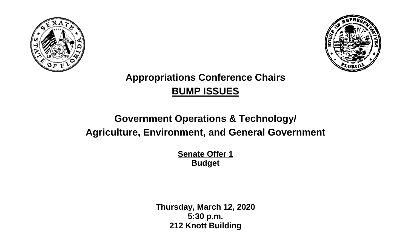



## **Appropriations Conference Chairs BUMP ISSUES**

## **Government Operations & Technology/ Agriculture, Environment, and General Government**

**Senate Offer 1 Budget** 

**Thursday, March 12, 2020 5:30 p.m. 212 Knott Building**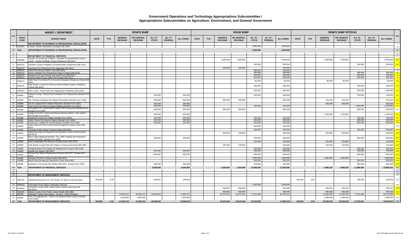## **Government Operations and Technology Appropriations Subcommittee / Appropriations Subcommittee on Agriculture, Environment, and General Government**

|                                    | <b>AGENCY / DEPARTMENT</b>                                                                                                          | <b>SENATE BUMP</b> |            |                                  |                                     |                         |                           |                    |             | <b>HOUSE BUMP</b> |                                  |                                     |                         |                          |                      |             | <b>SENATE BUMP OFFER #1</b> |                                  |                                     |                        |                           |                      |            |
|------------------------------------|-------------------------------------------------------------------------------------------------------------------------------------|--------------------|------------|----------------------------------|-------------------------------------|-------------------------|---------------------------|--------------------|-------------|-------------------|----------------------------------|-------------------------------------|-------------------------|--------------------------|----------------------|-------------|-----------------------------|----------------------------------|-------------------------------------|------------------------|---------------------------|----------------------|------------|
| <b>ROW</b><br><b>ISSUE</b><br>CODE | <b>BUDGET ISSUE</b>                                                                                                                 | <b>RATE</b>        | <b>FTE</b> | <b>GENERAL</b><br><b>REVENUE</b> | <b>NR GENERAL</b><br><b>REVENUE</b> | ALL TF-<br><b>STATE</b> | ALL TF-<br><b>FEDERAL</b> | <b>ALL FUNDS</b>   | <b>RATE</b> | <b>FTE</b>        | <b>GENERAL</b><br><b>REVENUE</b> | <b>NR GENERAL</b><br><b>REVENUE</b> | ALL TF-<br><b>STATE</b> | ALL TF<br><b>FEDERAL</b> | <b>ALL FUNDS</b>     | <b>RATE</b> | <b>FTE</b>                  | <b>GENERAL</b><br><b>REVENUE</b> | <b>NR GENERAL</b><br><b>REVENUE</b> | ALL TF<br><b>STATE</b> | ALL TF-<br><b>FEDERAL</b> | <b>ALL FUNDS</b>     |            |
| 1                                  | DEPARTMENT OF BUSINESS & PROFESSIONAL REGULATION                                                                                    |                    |            |                                  |                                     |                         |                           |                    |             |                   |                                  |                                     |                         |                          |                      |             |                             |                                  |                                     |                        |                           |                      |            |
| 16 4000040                         | In-State Tourism Marketing Campaign (HB 3203)                                                                                       |                    |            |                                  |                                     |                         |                           |                    |             |                   |                                  |                                     | 1,000,000               |                          | 1,000,000            |             |                             |                                  |                                     |                        |                           |                      |            |
| 20 Total                           | DEPARTMENT OF BUSINESS & PROFESSIONAL REGULATION                                                                                    |                    |            |                                  |                                     |                         |                           |                    |             |                   |                                  |                                     | 1,000,000               |                          | 1,000,000            |             |                             |                                  |                                     |                        |                           |                      | 20         |
| 22                                 | DEPARTMENT OF FINANCIAL SERVICES                                                                                                    |                    |            |                                  |                                     |                         |                           |                    |             |                   |                                  |                                     |                         |                          |                      |             |                             |                                  |                                     |                        |                           |                      | 22         |
| 64 4000080                         | Transfer To University Of Miami - Sylvester Comprehensive Cancer                                                                    |                    |            |                                  |                                     |                         |                           |                    |             |                   | 1,000,000                        | 1,000,000                           |                         |                          | 1,000,000            |             |                             | 1,000,000                        | 1,000,000                           |                        |                           | 1,000,000            |            |
|                                    | Center - Florida Firefighter Cancer Research (HB 3297)                                                                              |                    |            |                                  |                                     |                         |                           |                    |             |                   |                                  |                                     |                         |                          |                      |             |                             |                                  |                                     |                        |                           |                      |            |
| 66 4000210                         | Charlotte County Firefighter Decontamination Equipment (HB 4313)                                                                    |                    |            |                                  |                                     |                         |                           |                    |             |                   |                                  |                                     | 300,000                 |                          | 300,000              |             |                             |                                  |                                     | 300,000                |                           | 300,000              |            |
| 67 4000210<br>68 4000210           | Davenport Fire Department Fire Apparatus (HB 4811)<br>Davie Fire Rescue Ladder Truck (HB 4441)                                      |                    |            |                                  |                                     |                         |                           |                    |             |                   | 250,000                          | 250,000                             | 350,000                 |                          | 250,000<br>350,000   |             |                             |                                  |                                     |                        |                           |                      | 67<br>68   |
| 69 4000210                         | Kinard Volunteer Fire Department Class A Engine (HB 9119)                                                                           |                    |            |                                  |                                     |                         |                           |                    |             |                   |                                  |                                     | 285,000                 |                          | 285,000              |             |                             |                                  |                                     | 285,000                |                           | 285,000              |            |
| 70 4000210<br>71 4000210           | Margate Front Line Rescue and Aerial Truck (HB 3251)<br>Navarre Beach Pierce Saber Fire Pumper (HB 3527)                            |                    |            |                                  |                                     |                         |                           |                    |             |                   |                                  |                                     | 500,000<br>500,000      |                          | 500,000<br>500,000   |             |                             |                                  |                                     | 500.000<br>500,000     |                           | 500,000<br>500,000   |            |
| 72 4000210                         | Vorth River Fire District Port Security Emergency Response Vessel (HI                                                               |                    |            |                                  |                                     |                         |                           |                    |             |                   |                                  |                                     | 80,000                  |                          | 80,000               |             |                             | 80,000                           | 80,000                              |                        |                           | 80,000               |            |
|                                    | 1265<br>Palm Beach County Fire Rescue Diesel Exhaust System Installation                                                            |                    |            |                                  |                                     |                         |                           |                    |             |                   |                                  |                                     |                         |                          |                      |             |                             |                                  |                                     |                        |                           |                      |            |
| 74 4000210                         | roject (HB 4041)                                                                                                                    |                    |            |                                  |                                     |                         |                           |                    |             |                   |                                  |                                     | 400,000                 |                          | 400,000              |             |                             |                                  |                                     | 400,000                |                           | 400,000              |            |
| 75<br>4000210                      | Polk County - Rural Areas Fire Suppression Resiliency (HB 3435)                                                                     |                    |            |                                  |                                     |                         |                           |                    |             |                   |                                  |                                     | 500,000                 |                          | 500,000              |             |                             |                                  |                                     | 500,000                |                           | 500,000              |            |
| 91<br>140085                       | Calhoun County - Mossy Pond Volunteer Fire Department (Senate Form                                                                  |                    |            |                                  |                                     | 500,000                 |                           | 500,000            |             |                   |                                  |                                     | 500,000                 |                          | 500,000              |             |                             |                                  |                                     | 750,000                |                           | 750,000              |            |
| 93 140085                          | City of Bristol Volunteer Fire Station Renovation (Senate Form 1450)                                                                |                    |            |                                  |                                     | 500,000                 |                           | 500,000            |             |                   | 500,000                          | 500,000                             |                         |                          | 500,000              |             |                             | 410,222                          | 410,222                             |                        |                           | 410,222              |            |
| 94 140085                          | City of Longwood Fire Station Relocation (Senate Form 2252)                                                                         |                    |            |                                  |                                     | 250,000                 |                           | 250,000            |             |                   |                                  |                                     |                         |                          |                      |             |                             | 500.000                          | 500,000                             |                        |                           | 500,000              |            |
| 95 140085                          | Clay County Fire Rescue Station Building (Senate Form 2451)<br>Immokalee Fire Control District Station #30 Construction/Replacement |                    |            |                                  |                                     | 250,000                 |                           | 250,000            |             |                   |                                  |                                     | 250,000                 |                          | 250,000              |             |                             |                                  |                                     | 1,250,000              |                           | 1,250,000            |            |
| 96 140085                          | Senate Form 1029)                                                                                                                   |                    |            |                                  |                                     | 900,000                 |                           | 900,000            |             |                   | 900,000                          | 900,000                             |                         |                          | 900,000              |             |                             |                                  |                                     | 900,000                |                           | 900,000              |            |
| 97 140085                          | Lehigh Acres Fire Control and Rescue Service District - New Station<br>06 (Senate Form 2037)                                        |                    |            |                                  |                                     | 500,000                 |                           | 500,000            |             |                   |                                  |                                     |                         |                          |                      |             |                             | 1,250,000                        | 1,250,000                           |                        |                           | 1,250,000            |            |
| 98 140085                          | Suwannee County Fire Station (Senate Form 2481)                                                                                     |                    |            |                                  |                                     | 250,000                 |                           | 250,000            |             |                   |                                  |                                     | 250,000                 |                          | 250,000              |             |                             |                                  |                                     | 750,000                |                           | 750,000              |            |
| 99 140085<br>100 140085            | Taylor County Fire Rescue Station (Senate Form 1458)<br>Ocean City - Wright Fire Control District (Senate Form 1402)                |                    |            |                                  |                                     | 500,000<br>250,000      |                           | 500,000<br>250,000 |             |                   |                                  |                                     | 500,000<br>250,000      |                          | 500,000<br>250,000   |             |                             |                                  |                                     | 580,000<br>500,000     |                           | 580,000<br>500,000   |            |
| 101 140085                         | Cedar Hammock Fire Control District Regional Training Tower (HB                                                                     |                    |            |                                  |                                     |                         |                           |                    |             |                   |                                  |                                     | 500,000                 |                          | 500,000              |             |                             |                                  |                                     |                        |                           |                      |            |
| 102 140085                         | Crestview Public Safety Training Facility (HB 2891)                                                                                 |                    |            |                                  |                                     |                         |                           |                    |             |                   |                                  |                                     | 500,000                 |                          | 500,000              |             |                             |                                  |                                     | 500,000                |                           | 500,000              |            |
| 103 140085                         | Hialeah Emergency Response and Operation Center Improvements<br>HB 3973)                                                            |                    |            |                                  |                                     |                         |                           |                    |             |                   | 500,000                          | 500,000                             |                         |                          | 500,000              |             |                             | 500,000                          | 500,000                             |                        |                           | 500,000              |            |
| 104 140085                         | Marco Island Regional Maritime, Fire, EMS Training and Operations<br>Facility (HB 4825; Senate Form 1055                            |                    |            |                                  |                                     | 400,000                 |                           | 400,000            |             |                   |                                  |                                     | 400,000                 |                          | 400,000              |             |                             |                                  |                                     | 650,000                |                           | 650,000              |            |
| 105 140085                         | North Lauderdale Fire/ Rescue Training Center (HB 3479)                                                                             |                    |            |                                  |                                     |                         |                           |                    |             |                   |                                  |                                     | 125,000                 |                          | 125,000              |             |                             | 125,000                          | 125,000                             |                        |                           | 125,000              |            |
| 107 140085                         | Palm Beach County New Fire Station on Flavor Pict Road (HB 4091)                                                                    |                    |            |                                  |                                     |                         |                           |                    |             |                   | 100,000                          | 100,000                             |                         |                          | 100,000              |             |                             | 120,000                          | 120,000                             |                        |                           | 120,000              |            |
| 108 140085                         | Pompano Beach Fire Station 52 Replacement Project (HB 3789)                                                                         |                    |            |                                  |                                     |                         |                           |                    |             |                   |                                  |                                     | 500,000                 |                          | 500,000              |             |                             |                                  |                                     | 565,000                |                           | 565,000              |            |
| 109 140085                         | Apopka Fire Station (HB 2697)<br>Bronson Fire Station Replacement Project (HB 2377; Senate Form                                     |                    |            |                                  |                                     | 500,000                 |                           | 500,000            |             |                   |                                  |                                     | 500,000                 |                          | 500,000              |             |                             |                                  |                                     | 750,000                |                           | 750,000              |            |
| 111 140085                         |                                                                                                                                     |                    |            |                                  |                                     | 900,000                 |                           | 900,000            |             |                   |                                  |                                     | 900,000                 |                          | 900,000              |             |                             |                                  |                                     | 950,000                |                           | 950,000              |            |
| 112 140085<br>115 140085           | Dunedin EOC/Fire Training Facility (HB 2607)                                                                                        |                    |            |                                  |                                     |                         |                           |                    |             |                   |                                  |                                     | 1.000.000<br>500,000    |                          | 1.000.000<br>500,000 |             |                             | 1.000.000                        | 1.000.000                           | 500,000                |                           | 1.000.000<br>500,000 |            |
| 116 140085                         | Mount Dora Emergency Operations Center (HB 4083)                                                                                    |                    |            |                                  |                                     | 500,000                 |                           | 500,000            |             |                   |                                  |                                     | 500,000                 |                          | 500,000              |             |                             |                                  |                                     | 850,000                |                           | 850,000              |            |
| 117 Total                          | Sanderson Community Fire Station (HB 2501; Senate Form 1545)<br>DEPARTMENT OF FINANCIAL SERVICES                                    |                    |            |                                  |                                     | 6,200,000               |                           | 6,200,000          |             |                   | 3,250,000                        | 3,250,000                           | 10,090,000              |                          | 13,340,000           |             |                             | 4,985,222                        | 4,985,222                           | 11,980,000             |                           | 16,965,222           |            |
| 118                                |                                                                                                                                     |                    |            |                                  |                                     |                         |                           |                    |             |                   |                                  |                                     |                         |                          |                      |             |                             |                                  |                                     |                        |                           |                      | 118        |
| 153<br>154                         | DEPARTMENT OF MANAGEMENT SERVICES                                                                                                   |                    |            |                                  |                                     |                         |                           |                    |             |                   |                                  |                                     |                         |                          |                      |             |                             |                                  |                                     |                        |                           |                      | 153<br>154 |
|                                    |                                                                                                                                     |                    |            |                                  |                                     |                         |                           |                    |             |                   |                                  |                                     |                         |                          |                      |             |                             |                                  |                                     |                        |                           |                      |            |
| 161 3000100                        | Additional Resources For The Division Of State Group Insurance                                                                      | 156,000            | 3.00       |                                  |                                     | 256,033                 |                           | 256,033            |             |                   |                                  |                                     |                         |                          |                      | 156,000     | 3.00                        |                                  |                                     | 256,033                |                           | 256,033              | 161        |
| 185 4000810                        | <b>Prescription Drug Claims Verification Services</b>                                                                               |                    |            |                                  |                                     |                         |                           |                    |             |                   |                                  |                                     | 1,000,000               |                          | 1,000,000            |             |                             |                                  |                                     |                        |                           |                      |            |
| 209 4204015                        | Hernando County Public Safety Radio System Improvements<br>HB 3507)                                                                 |                    |            |                                  |                                     |                         |                           |                    |             |                   | 500,000                          | 500,000                             |                         |                          | 500,000              |             |                             | 455,222                          | 455,222                             |                        |                           | 455,222              |            |
| 210 4204025                        | Glades County E-911 Public Safety Facility (HB 4985)                                                                                |                    |            |                                  |                                     |                         |                           |                    |             |                   | 600,000                          | 600,000                             |                         |                          | 600,000              |             |                             | 400,000                          | 400,000                             |                        |                           | 400,000              |            |
| 227 083400                         | Statewide Capital Depreciation - General - DMS Managec<br>Town of Longboat Key - Smart City Implementation project (Senate          |                    |            | 55,850,414                       | 55,850,414                          | 16,000,000              |                           | 71,850,414         |             |                   | 52,470,444                       | 52,470,444                          | 17,322,968              |                          | 69,793,412           |             |                             | 51,000,000                       | 51,000,000                          | 17,322,968             |                           | 68,322,968           |            |
| 231 140085                         | Form 2446                                                                                                                           |                    |            | 1,500,000                        | 1,500,000                           |                         |                           | 1,500,000          |             |                   |                                  |                                     |                         |                          |                      |             |                             | 1,500,000                        | 1,500,000                           |                        |                           | 1,500,000            |            |
| 232 Total                          | DEPARTMENT OF MANAGEMENT SERVICES                                                                                                   | 156,000            | 3.00       | 57,350,414                       | 57,350,414                          | 16,256,033              |                           | 73,606,447         |             |                   | 53,570,444                       | 53,570,444                          | 18,322,968              |                          | 71,893,412           | 156,000     | 3.00                        | 53,355,222                       | 53,355,222                          | 17,579,001             |                           | 70,934,223           | 232        |